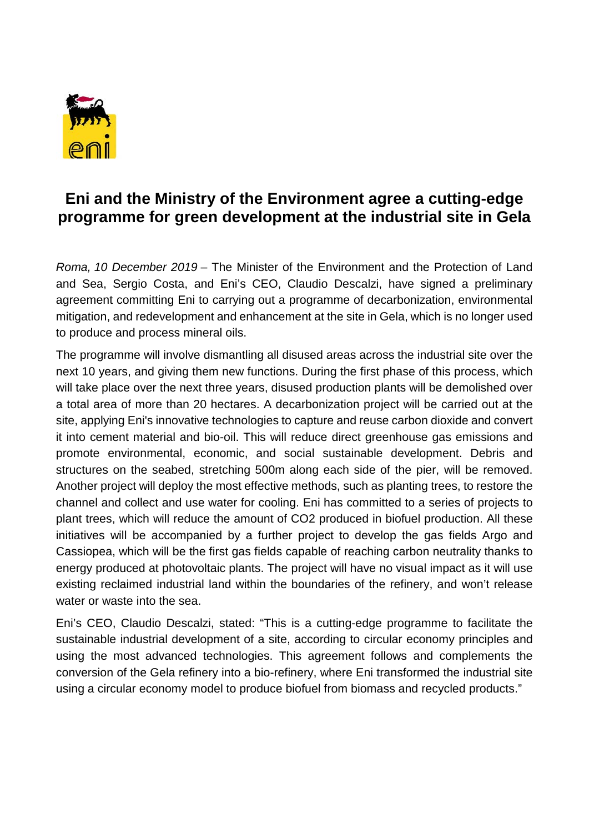

## **Eni and the Ministry of the Environment agree a cutting-edge programme for green development at the industrial site in Gela**

*Roma, 10 December 2019* – The Minister of the Environment and the Protection of Land and Sea, Sergio Costa, and Eni's CEO, Claudio Descalzi, have signed a preliminary agreement committing Eni to carrying out a programme of decarbonization, environmental mitigation, and redevelopment and enhancement at the site in Gela, which is no longer used to produce and process mineral oils.

The programme will involve dismantling all disused areas across the industrial site over the next 10 years, and giving them new functions. During the first phase of this process, which will take place over the next three years, disused production plants will be demolished over a total area of more than 20 hectares. A decarbonization project will be carried out at the site, applying Eni's innovative technologies to capture and reuse carbon dioxide and convert it into cement material and bio-oil. This will reduce direct greenhouse gas emissions and promote environmental, economic, and social sustainable development. Debris and structures on the seabed, stretching 500m along each side of the pier, will be removed. Another project will deploy the most effective methods, such as planting trees, to restore the channel and collect and use water for cooling. Eni has committed to a series of projects to plant trees, which will reduce the amount of CO2 produced in biofuel production. All these initiatives will be accompanied by a further project to develop the gas fields Argo and Cassiopea, which will be the first gas fields capable of reaching carbon neutrality thanks to energy produced at photovoltaic plants. The project will have no visual impact as it will use existing reclaimed industrial land within the boundaries of the refinery, and won't release water or waste into the sea.

Eni's CEO, Claudio Descalzi, stated: "This is a cutting-edge programme to facilitate the sustainable industrial development of a site, according to circular economy principles and using the most advanced technologies. This agreement follows and complements the conversion of the Gela refinery into a bio-refinery, where Eni transformed the industrial site using a circular economy model to produce biofuel from biomass and recycled products."